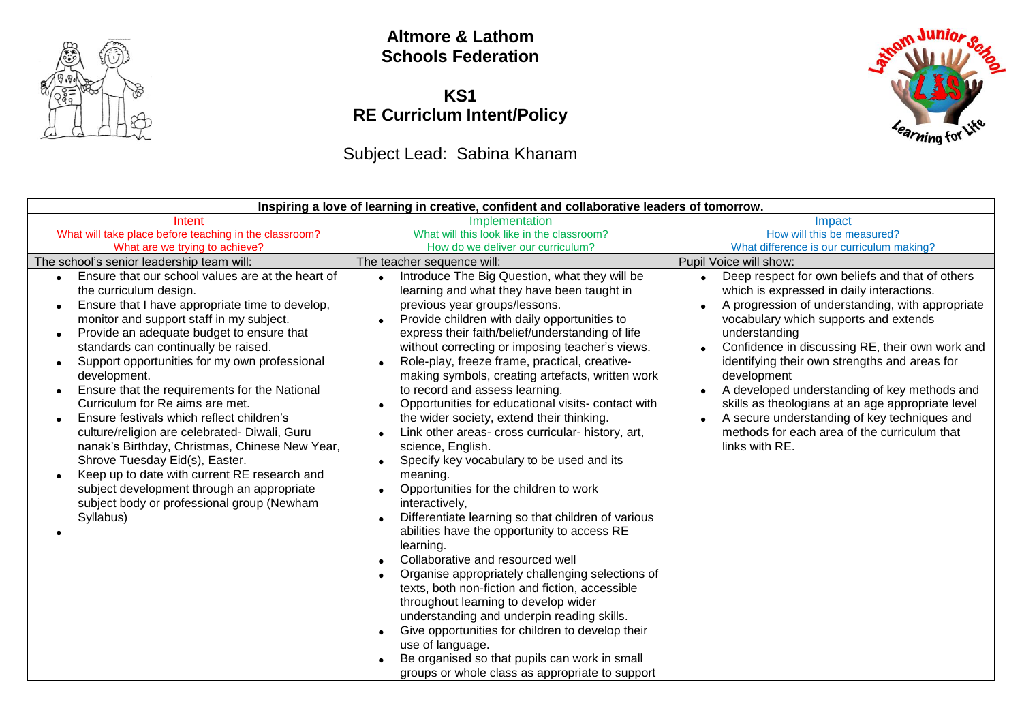

#### **Altmore & Lathom Schools Federation**

#### **KS1 RE Curriclum Intent/Policy**

# Subject Lead: Sabina Khanam

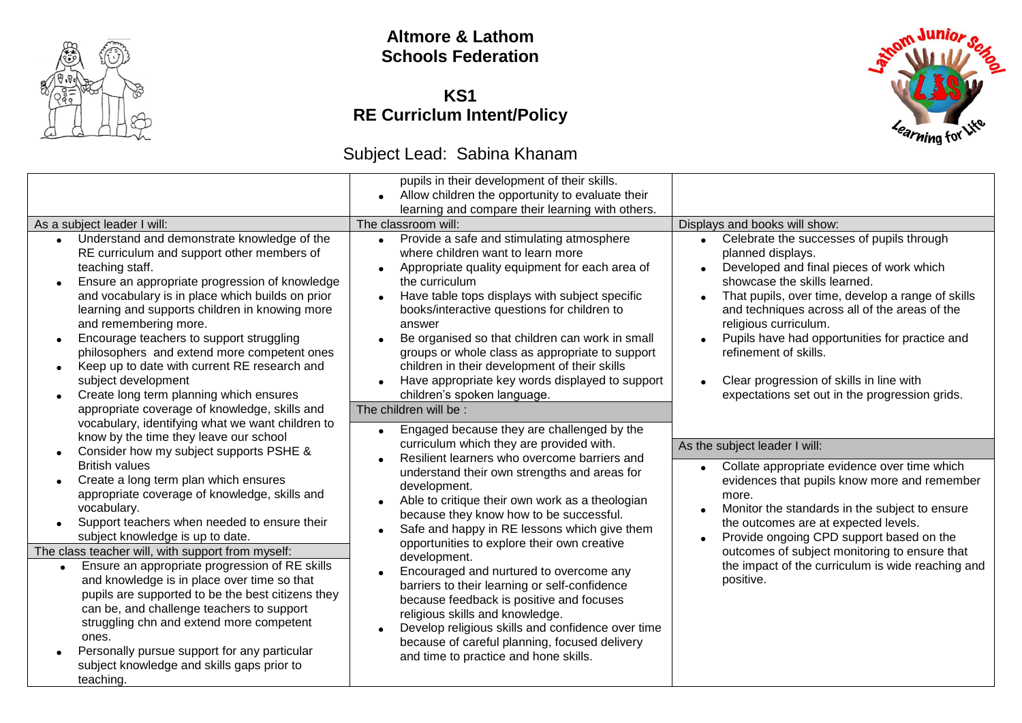

## **Altmore & Lathom Schools Federation**

#### **KS1 RE Curriclum Intent/Policy**

# Subject Lead: Sabina Khanam